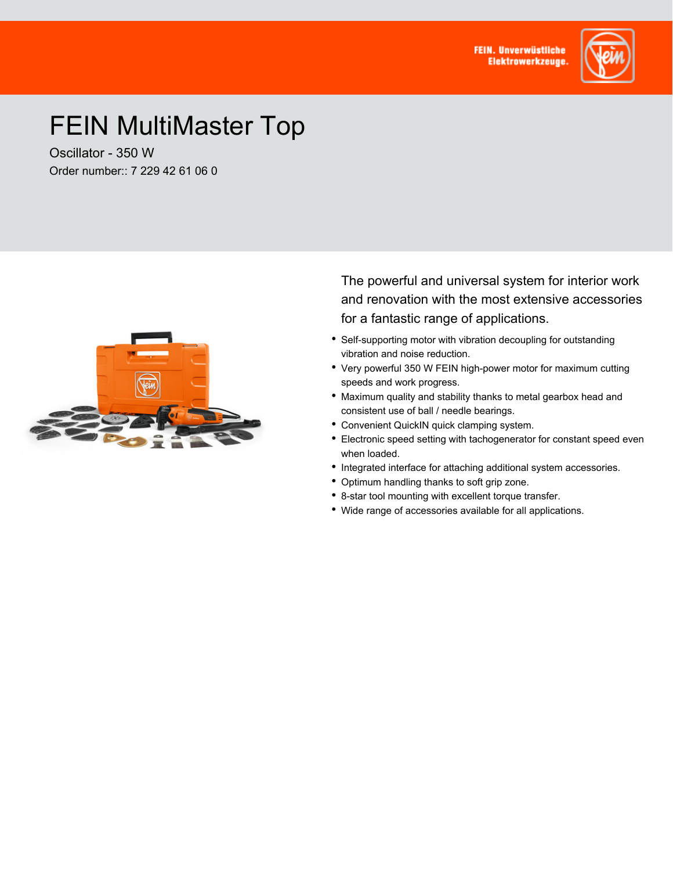**FEIN. Unverwüstliche Elektrowerkzeuge** 



## FEIN MultiMaster Top

Oscillator - 350 W Order number:: 7 229 42 61 06 0



The powerful and universal system for interior work and renovation with the most extensive accessories for a fantastic range of applications.

- Self-supporting motor with vibration decoupling for outstanding vibration and noise reduction.
- Very powerful 350 W FEIN high-power motor for maximum cutting speeds and work progress.
- Maximum quality and stability thanks to metal gearbox head and consistent use of ball / needle bearings.
- Convenient QuickIN quick clamping system.
- Electronic speed setting with tachogenerator for constant speed even when loaded.
- Integrated interface for attaching additional system accessories.
- Optimum handling thanks to soft grip zone.
- 8-star tool mounting with excellent torque transfer.
- Wide range of accessories available for all applications.